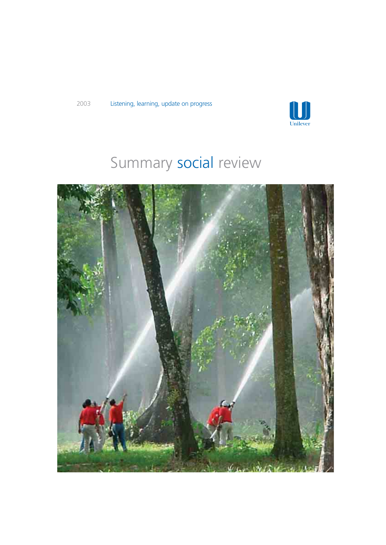

# Summary social review

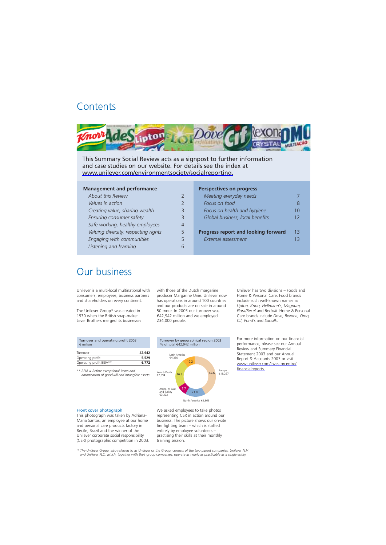# **Contents**



This Summary Social Review acts as a signpost to further information and case studies on our website. For details see the index at [www.unilever.com/environmentsociety/socialreporting.](http://www.unilever.com/environmentsociety/socialreporting/) 

4

6

#### **Management and performance**

#### **Perspectives on progress**

| 2 | Meeting everyday needs                     |     |
|---|--------------------------------------------|-----|
| 2 | Focus on food                              |     |
| 3 | Focus on health and hygiene                | 10  |
| 3 | Global business, local benefits            | 12  |
| 4 |                                            |     |
| 5 | <b>Progress report and looking forward</b> | 13  |
| 5 | External assessment                        | ג ו |
|   |                                            |     |

# Our business

Unilever is a multi-local multinational with consumers, employees, business partners and shareholders on every continent.

The Unilever Group\* was created in 1930 when the British soap-maker Lever Brothers merged its businesses with those of the Dutch margarine producer Margarine Unie. Unilever now has operations in around 100 countries and our products are on sale in around 50 more. In 2003 our turnover was €42,942 million and we employed 234,000 people.

Unilever has two divisions – Foods and Home & Personal Care. Food brands include such well-known names as *Lipton, Knorr, Hellmann's, Magnum, Flora/Becel* and *Bertolli*. Home & Personal Care brands include *Dove, Rexona, Omo, Cif, Pond's* and *Sunsilk*.

| 42,942 |
|--------|
| 5,529  |
| 6,772  |
|        |

*\*\* BEIA = Before exceptional items and amortisation of goodwill and intangible assets.* 



North America €9,869

Front cover photograph This photograph was taken by Adriana-

Maria Santos, an employee at our home and personal care products factory in Recife, Brazil and the winner of the Unilever corporate social responsibility (CSR) photographic competition in 2003. We asked employees to take photos representing CSR in action around our business. The picture shows our on-site fire fighting team – which is staffed entirely by employee volunteers – practising their skills at their monthly training session.

For more information on our financial performance, please see our Annual Review and Summary Financial Statement 2003 and our Annual Report & Accounts 2003 or visit [www.unilever.com/investorcentre/](http://www.unilever.com/investorcentre/financialreports/) 

financialreports.

*\* The Unilever Group, also referred to as Unilever or the Group, consists of the two parent companies, Unilever N.V. and Unilever PLC, which, together with their group companies, operate as nearly as practicable as a single entity.*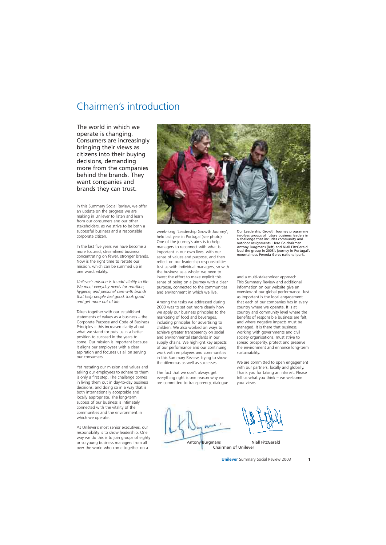# Chairmen's introduction

The world in which we operate is changing. Consumers are increasingly bringing their views as citizens into their buying decisions, demanding more from the companies behind the brands. They want companies and brands they can trust.

In this Summary Social Review, we offer an update on the progress we are making in Unilever to listen and learn from our consumers and our other stakeholders, as we strive to be both a successful business and a responsible corporate citizen.

In the last five years we have become a more focused, streamlined business concentrating on fewer, stronger brands. Now is the right time to restate our mission, which can be summed up in one word: vitality.

*Unilever's mission is to add vitality to life. We meet everyday needs for nutrition, hygiene, and personal care with brands that help people feel good, look good and get more out of life.* 

Taken together with our established statements of values as a business – the Corporate Purpose and Code of Business Principles – this increased clarity about what we stand for puts us in a better position to succeed in the years to come. Our mission is important because it aligns our employees with a clear aspiration and focuses us all on serving our consumers.

Yet restating our mission and values and asking our employees to adhere to them is only a first step. The challenge comes in living them out in day-to-day business decisions, and doing so in a way that is both internationally acceptable and locally appropriate. The long-term success of our business is intimately connected with the vitality of the communities and the environment in which we operate.

As Unilever's most senior executives, our responsibility is to show leadership. One way we do this is to join groups of eighty or so young business managers from all over the world who come together on a



week-long 'Leadership Growth Journey', held last year in Portugal (see photo). One of the journey's aims is to help managers to reconnect with what is important in our own lives, with our sense of values and purpose, and then reflect on our leadership responsibilities. Just as with individual managers, so with the business as a whole: we need to invest the effort to make explicit this sense of being on a journey with a clear purpose, connected to the communities and environment in which we live.

Among the tasks we addressed during 2003 was to set out more clearly how we apply our business principles to the marketing of food and beverages, including principles for advertising to children. We also worked on ways to achieve greater transparency on social and environmental standards in our supply chains. We highlight key aspects of our performance and our continuing work with employees and communities in this Summary Review, trying to show the dilemmas as well as successes.

The fact that we don't always get everything right is one reason why we are committed to transparency, dialogue

Our Leadership Growth Journey programme involves groups of future business leaders in a challenge that includes community and outdoor assignments. Here Co-chairmen Antony Burgmans (left) and Niall FitzGerald lead the group in 2003's journey in Portugal's mountainous Peneda-Geres national park.

and a multi-stakeholder approach. This Summary Review and additional information on our website give an overview of our global performance. Just as important is the local engagement that each of our companies has in every country where we operate. It is at country and community level where the benefits of responsible business are felt, and where negative impacts must be managed. It is there that business, working with governments and civil society organisations, must strive to spread prosperity, protect and preserve the environment and enhance long-term sustainability.

We are committed to open engagement with our partners, locally and globally. Thank you for taking an interest. Please tell us what you think – we welcome your views.

Antony Burgmans

Chairmen of Unilever Niall FitzGerald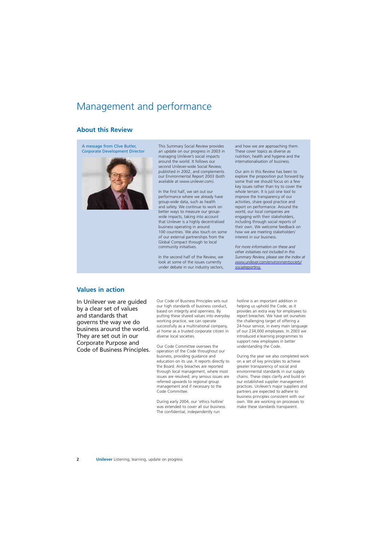# Management and performance

# **About this Review**

A message from Clive Butler, Corporate Development Director



This Summary Social Review provides an update on our progress in 2003 in managing Unilever's social impacts around the world. It follows our second Unilever-wide Social Review, published in 2002, and complements our Environmental Report 2003 (both available at www.unilever.com).

In the first half, we set out our performance where we already have group-wide data, such as health and safety. We continue to work on better ways to measure our groupwide impacts, taking into account that Unilever is a highly decentralised business operating in around 100 countries. We also touch on some of our external partnerships from the Global Compact through to local community initiatives.

In the second half of the Review, we look at some of the issues currently under debate in our industry sectors, and how we are approaching them. These cover topics as diverse as nutrition, health and hygiene and the internationalisation of business.

Our aim in this Review has been to explore the proposition put forward by some that we should focus on a few key issues rather than try to cover the whole terrain. It is just one tool to improve the transparency of our activities, share good practice and report on performance. Around the world, our local companies are engaging with their stakeholders, including through social reports of their own. We welcome feedback on how we are meeting stakeholders' interest in our business.

*For more information on these and other initiatives not included in this Summary Review, please see the index at [www.unilever.com/environmentsociety/](http://www.unilever.com/environmentsociety/socialreporting/)  socialreporting.* 

### **Values in action**

In Unilever we are guided by a clear set of values and standards that governs the way we do business around the world. They are set out in our Corporate Purpose and Code of Business Principles.

Our Code of Business Principles sets out our high standards of business conduct, based on integrity and openness. By putting these shared values into everyday working practice, we can operate successfully as a multinational company, at home as a trusted corporate citizen in diverse local societies.

Our Code Committee oversees the operation of the Code throughout our business, providing guidance and education on its use. It reports directly to the Board. Any breaches are reported through local management, where most issues are resolved; any serious issues are referred upwards to regional group management and if necessary to the Code Committee.

During early 2004, our 'ethics hotline' was extended to cover all our business. The confidential, independently run

hotline is an important addition in helping us uphold the Code, as it provides an extra way for employees to report breaches. We have set ourselves the challenging target of offering a 24-hour service, in every main language of our 234,000 employees. In 2003 we introduced e:learning programmes to support new employees in better understanding the Code.

During the year we also completed work on a set of key principles to achieve greater transparency of social and environmental standards in our supply chains. These steps clarify and build on our established supplier management practices. Unilever's major suppliers and partners are expected to adhere to business principles consistent with our own. We are working on processes to make these standards transparent.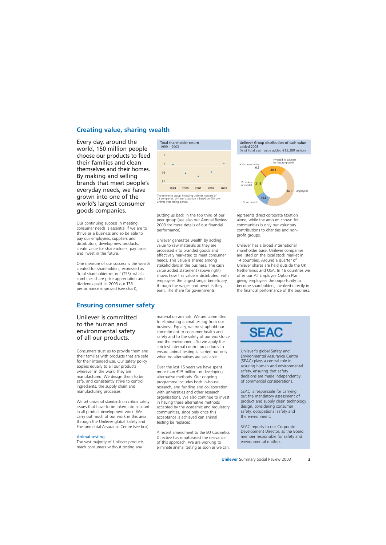# **Creating value, sharing wealth**

Every day, around the world, 150 million people choose our products to feed their families and clean themselves and their homes. By making and selling brands that meet people's everyday needs, we have grown into one of the world's largest consumer goods companies.

Our continuing success in meeting consumer needs is essential if we are to thrive as a business and so be able to pay our employees, suppliers and distributors, develop new products, create value for shareholders, pay taxes and invest in the future.

One measure of our success is the wealth created for shareholders, expressed as 'total shareholder return' (TSR), which combines share price appreciation and dividends paid. In 2003 our TSR performance improved (see chart),



### Unilever is committed to the human and environmental safety of all our products.

Consumers trust us to provide them and their families with products that are safe for their intended use. Our safety policy applies equally to all our products wherever in the world they are manufactured. We design them to be safe, and consistently strive to control ingredients, the supply chain and manufacturing processes.

We set universal standards on critical safety issues that have to be taken into account in all product development work. We carry out much of our work in this area through the Unilever global Safety and Environmental Assurance Centre (see box).

#### Animal testing

The vast majority of Unilever products reach consumers without testing any



The reference group, including Unilever, consists of 21 companies. Unilever's position is based on TSR over a three-year rolling period.

putting us back in the top third of our peer group (see also our Annual Review 2003 for more details of our financial performance).

Unilever generates wealth by adding value to raw materials as they are processed into branded goods and effectively marketed to meet consumer needs. This value is shared among stakeholders in the business. The cash value added statement (above right) shows how this value is distributed, with employees the largest single beneficiary through the wages and benefits they earn. The share for governments



represents direct corporate taxation alone, while the amount shown for communities is only our voluntary contributions to charities and nonprofit groups.

Unilever has a broad international shareholder base. Unilever companies are listed on the local stock market in 14 countries. Around a quarter of Unilever shares are held outside the UK, Netherlands and USA. In 16 countries we offer our All Employee Option Plan, giving employees the opportunity to become shareholders, involved directly in the financial performance of the business.

material on animals. We are committed to eliminating animal testing from our business. Equally, we must uphold our commitment to consumer health and safety and to the safety of our workforce and the environment. So we apply the strictest internal control procedures to ensure animal testing is carried out only when no alternatives are available.

Over the last 15 years we have spent more than €15 million on developing alternative methods. Our ongoing programme includes both in-house research, and funding and collaboration with universities and other research organisations. We also continue to invest in having these alternative methods accepted by the academic and regulatory communities, since only once this acceptance is achieved can animal testing be replaced.

A recent amendment to the EU Cosmetics Directive has emphasised the relevance of this approach. We are working to eliminate animal testing as soon as we can.



Unilever's global Safety and Environmental Assurance Centre (SEAC) plays a central role in assuring human and environmental safety, ensuring that safety decisions are made independently of commercial considerations.

SEAC is responsible for carrying out the mandatory assessment of product and supply chain technology design, considering consumer safety, occupational safety and the environment.

SEAC reports to our Corporate Development Director, as the Board member responsible for safety and environmental matters.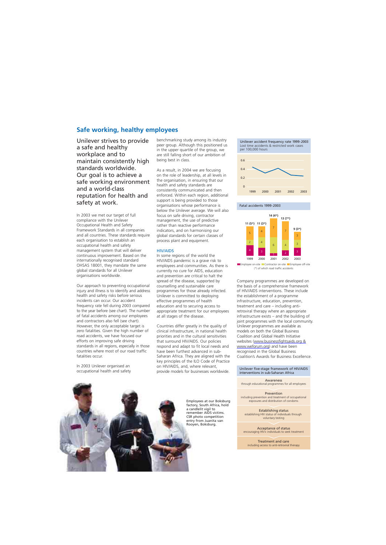## **Safe working, healthy employees**

Unilever strives to provide a safe and healthy workplace and to maintain consistently high standards worldwide. Our goal is to achieve a safe working environment and a world-class reputation for health and safety at work.

In 2003 we met our target of full compliance with the Unilever Occupational Health and Safety Framework Standards in all companies and all countries. These standards require each organisation to establish an occupational health and safety management system that will deliver continuous improvement. Based on the internationally recognised standard OHSAS 18001, they mandate the same global standards for all Unilever organisations worldwide.

Our approach to preventing occupational injury and illness is to identify and address health and safety risks before serious incidents can occur. Our accident frequency rate fell during 2003 compared to the year before (see chart). The number of fatal accidents among our employees and contractors also fell (see chart). However, the only acceptable target is zero fatalities. Given the high number of road accidents, we have focused our efforts on improving safe driving standards in all regions, especially in those countries where most of our road traffic fatalities occur.

In 2003 Unilever organised an occupational health and safety benchmarking study among its industry peer group. Although this positioned us in the upper quartile of the group, we are still falling short of our ambition of being best in class.

As a result, in 2004 we are focusing on the role of leadership, at all levels in the organisation, in ensuring that our health and safety standards are consistently communicated and then enforced. Within each region, additional support is being provided to those organisations whose performance is below the Unilever average. We will also focus on safe driving, contractor management, the use of predictive rather than reactive performance indicators, and on harmonising our global standards for certain classes of process plant and equipment.

#### HIV/AIDS

In some regions of the world the HIV/AIDS pandemic is a grave risk to employees and communities. As there is currently no cure for AIDS, education and prevention are critical to halt the spread of the disease, supported by counselling and sustainable care programmes for those already infected. Unilever is committed to deploying effective programmes of health education and to securing access to appropriate treatment for our employees at all stages of the disease.

Countries differ greatly in the quality of clinical infrastructure, in national health priorities and in the cultural sensitivities that surround HIV/AIDS. Our policies respond and adapt to fit local needs and have been furthest advanced in sub-Saharan Africa. They are aligned with the key principles of the ILO Code of Practice on HIV/AIDS, and, where relevant, provide models for businesses worldwide.

Unilever accident frequency rate 1999-2003 Lost time accidents & restricted work cases per 100,000 hours





Company programmes are developed on the basis of a comprehensive framework of HIV/AIDS interventions. These include the establishment of a programme infrastructure, education, prevention, treatment and care – including antiretroviral therapy where an appropriate infrastructure exists – and the building of joint programmes with the local community. Unilever programmes are available as models on both the Global Business Coalition and Global Health Initiative websites [\(www.businessfightsaids.org](http://www.businessfightsaids.org) & [www.weforum.org\)](http://www.weforum.org) and have been recognised in the Global Business Coalition's Awards for Business Excellence.

#### Unilever five-stage framework of HIV/AIDS interventions in sub-Saharan Africa

Awareness through educational programmes for all employees

**Prevention** including prevention and treatment of occupational exposures and distribution of condoms

Establishing status establishing HIV status of individuals through voluntary testing

Acceptance of status encouraging HIV+ individuals to seek treatment

Treatment and care including access to anti-retroviral therapy

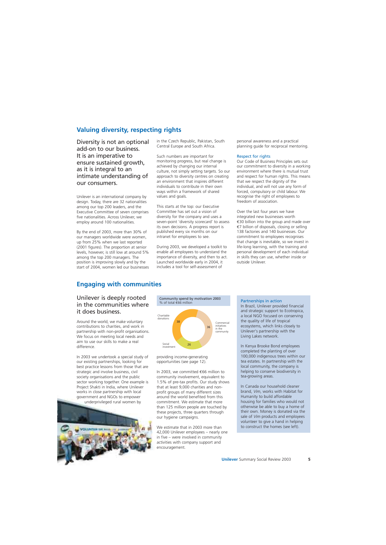# **Valuing diversity, respecting rights**

Diversity is not an optional add-on to our business. It is an imperative to ensure sustained growth, as it is integral to an intimate understanding of our consumers.

Unilever is an international company by design. Today, there are 32 nationalities among our top 200 leaders, and the Executive Committee of seven comprises five nationalities. Across Unilever, we employ around 100 nationalities.

By the end of 2003, more than 30% of our managers worldwide were women, up from 25% when we last reported (2001 figures). The proportion at senior levels, however, is still low at around 5% among the top 200 managers. The position is improving slowly and by the start of 2004, women led our businesses in the Czech Republic, Pakistan, South Central Europe and South Africa.

Such numbers are important for monitoring progress, but real change is achieved by changing our internal culture, not simply setting targets. So our approach to diversity centres on creating an environment that inspires different individuals to contribute in their own ways within a framework of shared values and goals.

This starts at the top: our Executive Committee has set out a vision of diversity for the company and uses a seven-point 'diversity scorecard' to assess its own decisions. A progress report is published every six months on our intranet for employees to see.

During 2003, we developed a toolkit to enable all employees to understand the importance of diversity, and then to act. Launched worldwide early in 2004, it includes a tool for self-assessment of

personal awareness and a practical planning guide for reciprocal mentoring.

#### Respect for rights

Our Code of Business Principles sets out our commitment to diversity in a working environment where there is mutual trust and respect for human rights. This means that we respect the dignity of the individual, and will not use any form of forced, compulsory or child labour. We recognise the right of employees to freedom of association.

Over the last four years we have integrated new businesses worth €30 billion into the group and made over €7 billion of disposals, closing or selling 138 factories and 140 businesses. Our commitment to employees recognises that change is inevitable, so we invest in life-long learning, with the training and personal development of each individual in skills they can use, whether inside or outside Unilever.

# **Engaging with communities**

### Unilever is deeply rooted in the communities where it does business.

Around the world, we make voluntary contributions to charities, and work in partnership with non-profit organisations. We focus on meeting local needs and aim to use our skills to make a real difference.

In 2003 we undertook a special study of our existing partnerships, looking for best practice lessons from those that are strategic and involve business, civil society organisations and the public sector working together. One example is Project Shakti in India, where Unilever works in close partnership with local government and NGOs to empower underprivileged rural women by





providing income-generating opportunities (see page 12).

In 2003, we committed €66 million to community involvement, equivalent to 1.5% of pre-tax profits. Our study shows that at least 9,000 charities and nonprofit groups of many different sizes around the world benefited from this commitment. We estimate that more than 125 million people are touched by these projects, three quarters through our hygiene campaigns.

We estimate that in 2003 more than 42,000 Unilever employees – nearly one in five – were involved in community activities with company support and encouragement.

#### Partnerships in action

In Brazil, Unilever provided financial and strategic support to Ecotropica, a local NGO focused on conserving the quality of life of tropical ecosystems, which links closely to Unilever's partnership with the Living Lakes network.

In Kenya Brooke Bond employees completed the planting of over 100,000 indigenous trees within our tea estates. In partnership with the local community, the company is helping to conserve biodiversity in tea-growing areas.

In Canada our household cleaner brand, *Vim*, works with Habitat for Humanity to build affordable housing for families who would not otherwise be able to buy a home of their own. Money is donated via the sale of *Vim* products and employees volunteer to give a hand in helping to construct the homes (see left).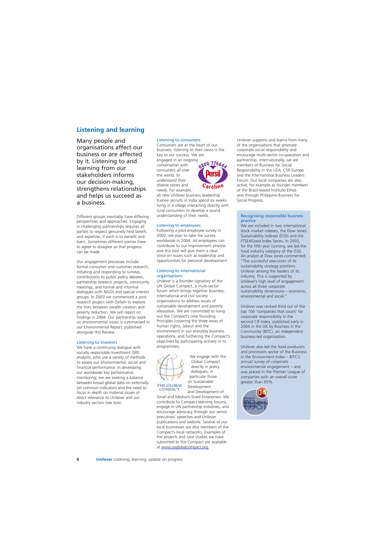# **Listening and learning**

Many people and organisations affect our business or are affected by it. Listening to and learning from our stakeholders informs our decision-making, strengthens relationships and helps us succeed as a business.

Different groups inevitably have differing perspectives and approaches. Engaging in challenging partnerships requires all parties to respect genuinely held beliefs and expertise, if each is to benefit and learn. Sometimes different parties have to agree to disagree so that progress can be made.

Our engagement processes include formal consumer and customer research, initiating and responding to surveys, contributions to public policy debates, partnership research projects, community meetings, and formal and informal dialogues with NGOs and special interest groups. In 2003 we commenced a joint research project with Oxfam to explore the links between wealth creation and poverty reduction. We will report on findings in 2004. Our partnership work on environmental issues is summarised in our Environmental Report, published alongside this Review.

#### Listening to investors

We have a continuing dialogue with socially responsible investment (SRI) analysts, who use a variety of methods to assess our environmental, social and financial performance. In developing our worldwide key performance monitoring, we are seeking a balance between broad global data on externally set common indicators and the need to focus in depth on material issues of direct relevance to Unilever and our industry sectors (see box).

#### Listening to consumers

Consumers are at the heart of our business: listening to their views is the key to our success. We are

engaged in an ongoing<br>conversation with **800 7766** conversation with consumers all over the world, to understand their diverse tastes and needs. For example,



all new Unilever business leadership trainee recruits in India spend six weeks living in a village interacting directly with rural consumers to develop a sound understanding of their needs.

#### Listening to employees

Following a pilot employee survey in 2002, we plan to take the survey worldwide in 2004. All employees can contribute to our improvement process and this tool will give them a clear voice on issues such as leadership and opportunities for personal development.

#### Listening to international organisations

Unilever is a founder signatory of the UN Global Compact, a multi-sector forum which brings together business, international and civil society organisations to address issues of sustainable development and poverty alleviation. We are committed to living out the Compact's nine founding Principles (covering the three areas of human rights, labour and the environment) in our everyday business operations, and furthering the Compact's objectives by participating actively in its programmes.



dialogues, in We engage with the Global Compact directly in policy particular those on Sustainable Development and Development of

Small and Medium-Sized Enterprises. We contribute to Compact learning forums, engage in UN partnership initiatives, and encourage advocacy through our senior executives' speeches and Unilever publications and website. Several of our local businesses are also members of the Compact's local networks. Examples of the projects and case studies we have submitted to the Compact are available [at www.unglobalcompact.org.](http://www.unglobalcompact.org) 

Unilever supports and learns from many of the organisations that promote corporate social responsibility and encourage multi-sector co-operation and partnership. Internationally, we are members of Business for Social Responsibility in the USA, CSR Europe and the International Business Leaders Forum. Our local companies are also active, for example as founder members of the Brazil-based Instituto Ethos and through Philippine Business for Social Progress.

#### Recognising responsible business practice

We are included in two international stock market indexes, the Dow Jones Sustainability Indexes (DJSI) and the FTSE4Good Index Series. In 2003, for the fifth year running, we led the food industry category of the DJSI. An analyst at Dow Jones commented: "The successful execution of its sustainability strategy positions Unilever among the leaders of its industry. This is supported by Unilever's high level of engagement across all three corporate sustainability dimensions – economic, environmental and social<sup>"</sup>

Unilever was ranked third out of the top 100 'companies that count' for corporate responsibility in the second CR Index, published early in 2004 in the UK by Business in the Community (BITC), an independent business-led organisation.

Unilever also led the food producers and processors sector of the Business in the Environment Index – BITC's annual survey of corporate environmental engagement – and was placed in the Premier League of companies with an overall score greater than 95%.

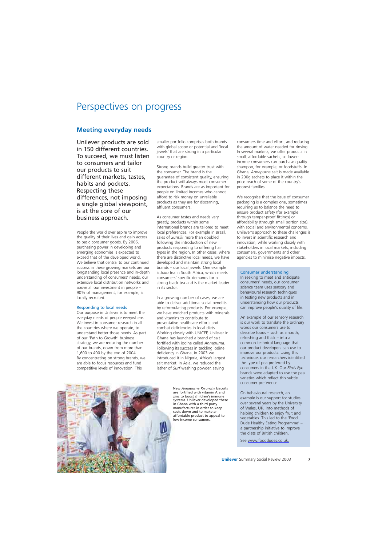# Perspectives on progress

# **Meeting everyday needs**

Unilever products are sold in 150 different countries. To succeed, we must listen to consumers and tailor our products to suit different markets, tastes, habits and pockets. Respecting these differences, not imposing a single global viewpoint, is at the core of our business approach.

People the world over aspire to improve the quality of their lives and gain access to basic consumer goods. By 2006, purchasing power in developing and emerging economies is expected to exceed that of the developed world. We believe that central to our continued success in these growing markets are our longstanding local presence and in-depth understanding of consumers' needs, our extensive local distribution networks and above all our investment in people – 90% of management, for example, is locally recruited.

#### Responding to local needs

Our purpose in Unilever is to meet the everyday needs of people everywhere. We invest in consumer research in all the countries where we operate, to understand better those needs. As part of our 'Path to Growth' business strategy, we are reducing the number of our brands, down from more than 1,600 to 400 by the end of 2004. By concentrating on strong brands, we are able to focus resources and fund competitive levels of innovation. This

smaller portfolio comprises both brands with global scope or potential and 'local jewels' that are strong in a particular country or region.

Strong brands build greater trust with the consumer. The brand is the guarantee of consistent quality, ensuring the product will always meet consumer expectations. Brands are as important for people on limited incomes who cannot afford to risk money on unreliable products as they are for discerning, affluent consumers.

As consumer tastes and needs vary greatly, products within some international brands are tailored to meet local preferences. For example in Brazil, sales of *Sunsilk* more than doubled following the introduction of new products responding to differing hair types in the region. In other cases, where there are distinctive local needs, we have developed and maintain strong local brands – our local jewels. One example is *Joko* tea in South Africa, which meets consumers' specific demands for a strong black tea and is the market leader in its sector.

In a growing number of cases, we are able to deliver additional social benefits by reformulating products. For example, we have enriched products with minerals and vitamins to contribute to preventative healthcare efforts and combat deficiencies in local diets. Working closely with UNICEF, Unilever in Ghana has launched a brand of salt fortified with iodine called *Annapurna*. Following its success in tackling iodine deficiency in Ghana, in 2003 we introduced it in Nigeria, Africa's largest salt market. In Asia, we reduced the lather of *Surf* washing powder, saving



New *Annapurna Krrunchy* biscuits are fortified with vitamin A and zinc to boost children's immune systems. Unilever developed these in Ghana with a third party manufacturer in order to keep costs down and to make an affordable product to appeal to low-income consumers.

consumers time and effort, and reducing the amount of water needed for rinsing. In several markets, we offer products in small, affordable sachets, so lowerincome consumers can purchase quality shampoo, for example, or foodstuffs. In Ghana, *Annapurna* salt is made available in 200g sachets to place it within the price reach of some of the country's poorest families.

We recognise that the issue of consumer packaging is a complex one, sometimes requiring us to balance the need to ensure product safety (for example through tamper-proof fittings) or affordability (through small portion size), with social and environmental concerns. Unilever's approach to these challenges is to invest in scientific research and innovation, while working closely with stakeholders in local markets, including consumers, governments and other agencies to minimise negative impacts.

#### Consumer understanding

In seeking to meet and anticipate consumers' needs, our consumer science team uses sensory and behavioural research techniques in testing new products and in understanding how our products can improve people's quality of life.

An example of our sensory research is our work to translate the ordinary words our consumers use to describe foods – such as smooth, refreshing and thick – into a common technical language that our product developers can use to improve our products. Using this technique, our researchers identified the type of pea preferred by consumers in the UK. Our *Birds Eye*  brands were adapted to use the pea varieties which reflect this subtle consumer preference.

On behavioural research, an example is our support for studies over several years by the University of Wales, UK, into methods of helping children to enjoy fruit and vegetables. This led to the 'Food Dude Healthy Eating Programme' – a partnership initiative to improve the diets of British children.

[See www.fooddudes.co.uk.](http://www.fooddudes.co.uk)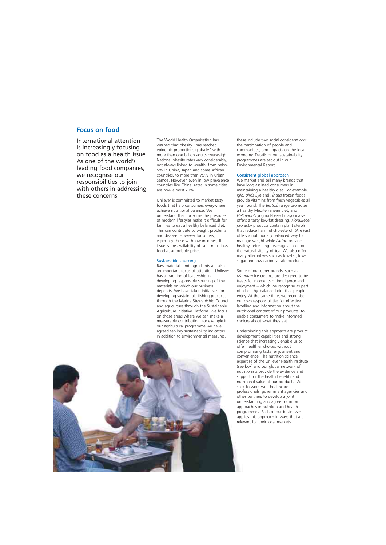### **Focus on food**

International attention is increasingly focusing on food as a health issue. As one of the world's leading food companies, we recognise our responsibilities to join with others in addressing these concerns.

The World Health Organisation has warned that obesity "has reached epidemic proportions globally" with more than one billion adults overweight. National obesity rates vary considerably, not always linked to wealth: from below 5% in China, Japan and some African countries, to more than 75% in urban Samoa. However, even in low prevalence countries like China, rates in some cities are now almost 20%.

Unilever is committed to market tasty foods that help consumers everywhere achieve nutritional balance. We understand that for some the pressures of modern lifestyles make it difficult for families to eat a healthy balanced diet. This can contribute to weight problems and disease. However for others, especially those with low incomes, the issue is the availability of safe, nutritious food at affordable prices.

#### Sustainable sourcing

In addition to environmental measures, Raw materials and ingredients are also an important focus of attention. Unilever has a tradition of leadership in developing responsible sourcing of the materials on which our business depends. We have taken initiatives for developing sustainable fishing practices through the Marine Stewardship Council and agriculture through the Sustainable Agriculture Initiative Platform. We focus on those areas where we can make a measurable contribution, for example in our agricultural programme we have agreed ten key sustainability indicators.

these include two social considerations: the participation of people and communities, and impacts on the local economy. Details of our sustainability programmes are set out in our Environmental Report.

#### Consistent global approach

We market and sell many brands that have long assisted consumers in maintaining a healthy diet. For example, *Iglo, Birds Eye* and *Findus* frozen foods provide vitamins from fresh vegetables all year round. The *Bertolli* range promotes a healthy Mediterranean diet, and *Hellmann's* yoghurt-based mayonnaise offers a tasty low-fat dressing. *Flora/Becel pro.activ* products contain plant sterols that reduce harmful cholesterol. *Slim.Fast*  offers a nutritionally balanced way to manage weight while *Lipton* provides healthy, refreshing beverages based on the natural vitality of tea. We also offer many alternatives such as low-fat, lowsugar and low-carbohydrate products.

Some of our other brands, such as *Magnum* ice creams, are designed to be treats for moments of indulgence and enjoyment – which we recognise as part of a healthy, balanced diet that people enjoy. At the same time, we recognise our own responsibilities for effective labelling and information about the nutritional content of our products, to enable consumers to make informed choices about what they eat.

Underpinning this approach are product development capabilities and strong science that increasingly enable us to offer healthier choices without compromising taste, enjoyment and convenience. The nutrition science expertise of the Unilever Health Institute (see box) and our global network of nutritionists provide the evidence and support for the health benefits and nutritional value of our products. We seek to work with healthcare professionals, government agencies and other partners to develop a joint understanding and agree common approaches in nutrition and health programmes. Each of our businesses applies this approach in ways that are relevant for their local markets.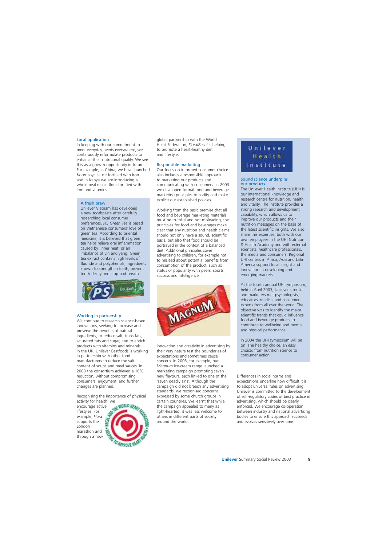#### Local application

In keeping with our commitment to meet everyday needs everywhere, we continuously reformulate products to enhance their nutritional quality. We see this as a growth opportunity in future. For example, in China, we have launched *Knorr* soya sauce fortified with iron and in Kenya we are introducing a wholemeal maize flour fortified with iron and vitamins.

#### A fresh brew

Unilever Vietnam has developed a new toothpaste after carefully researching local consumer preferences. *P/S Green Tea* is based on Vietnamese consumers' love of green tea. According to oriental medicine, it is believed that green tea helps relieve oral inflammation caused by 'inner heat' or an imbalance of yin and yang. Green tea extract contains high levels of fluoride and polyphenols, ingredients known to strengthen teeth, prevent tooth decay and stop bad breath.



#### Working in partnership

We continue to research science-based innovations, seeking to increase and preserve the benefits of natural ingredients, to reduce salt, trans fats, saturated fats and sugar, and to enrich products with vitamins and minerals. In the UK, Unilever Bestfoods is working in partnership with other food manufacturers to reduce the salt content of soups and meal sauces. In 2003 the consortium achieved a 10% reduction, without compromising consumers' enjoyment, and further changes are planned.

Recognising the importance of physical activity for health, we

encourage active lifestyles. For example, *Flora*  supports the London marathon and through a new



global partnership with the World Heart Federation, *Flora/Becel* is helping to promote a heart-healthy diet and lifestyle.

#### Responsible marketing

Our focus on informed consumer choice also includes a responsible approach to marketing our products and communicating with consumers. In 2003 we developed formal food and beverage marketing principles to codify and make explicit our established policies.

Working from the basic premise that all food and beverage marketing materials must be truthful and not misleading, the principles for food and beverages make clear that any nutrition and health claims should not only have a sound, scientific basis, but also that food should be portrayed in the context of a balanced diet. Additional principles cover advertising to children, for example not to mislead about potential benefits from consumption of the product, such as status or popularity with peers, sports success and intelligence.



Innovation and creativity in advertising by their very nature test the boundaries of expectations and sometimes cause concern. In 2003, for example, our *Magnum* ice-cream range launched a marketing campaign promoting seven new flavours, each linked to one of the 'seven deadly sins'. Although the campaign did not breach any advertising standards, we recognised concerns expressed by some church groups in certain countries. We learnt that while the campaign appealed to many as light-hearted, it was less welcome to others in different parts of society around the world.

# Unilever Health Institute

#### Sound science underpins our products

The Unilever Health Institute (UHI) is our international knowledge and research centre for nutrition, health and vitality. The Institute provides a strong research and development capability, which allows us to improve our products and their nutrition messages on the basis of the latest scientific insights. We also share this expertise, both with our own employees in the UHI Nutrition & Health Academy and with external scientists, healthcare professionals, the media and consumers. Regional UHI centres in Africa, Asia and Latin America support local insight and innovation in developing and emerging markets.

At the fourth annual UHI symposium, held in April 2003, Unilever scientists and marketers met psychologists, educators, medical and consumer experts from all over the world. The objective was to identify the major scientific trends that could influence food and beverage products to contribute to wellbeing and mental and physical performance.

In 2004 the UHI symposium will be on 'The healthy choice, an easy choice: from nutrition science to consumer action'.

Differences in social norms and expectations underline how difficult it is to adopt universal rules on advertising. Unilever is committed to the development of self-regulatory codes of best practice in advertising, which should be clearly enforced. We encourage co-operation between industry and national advertising bodies to ensure this approach succeeds and evolves sensitively over time.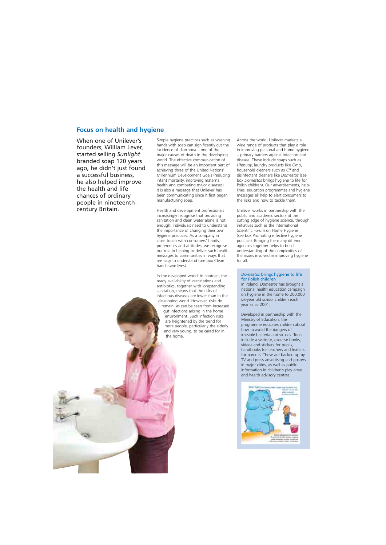## **Focus on health and hygiene**

When one of Unilever's founders, William Lever, started selling *Sunlight*  branded soap 120 years ago, he didn't just found a successful business, he also helped improve the health and life chances of ordinary people in nineteenthcentury Britain.

Simple hygiene practices such as washing hands with soap can significantly cut the incidence of diarrhoea – one of the major causes of death in the developing world. The effective communication of this message will be an important part of achieving three of the United Nations' Millennium Development Goals (reducing infant mortality, improving maternal health and combating major diseases). It is also a message that Unilever has been communicating since it first began manufacturing soap.

Health and development professionals increasingly recognise that providing sanitation and clean water alone is not enough: individuals need to understand the importance of changing their own hygiene practices. As a company in close touch with consumers' habits, preferences and attitudes, we recognise our role in helping to deliver such health messages to communities in ways that are easy to understand (see box Clean hands save lives).

In the developed world, in contrast, the ready availability of vaccinations and antibiotics, together with longstanding sanitation, means that the risks of infectious diseases are lower than in the developing world. However, risks do remain, as can be seen from increased gut infections arising in the home environment. Such infection risks are heightened by the trend for more people, particularly the elderly and very young, to be cared for in the home.

Across the world, Unilever markets a wide range of products that play a role in improving personal and home hygiene – primary barriers against infection and disease. These include soaps such as *Lifebuoy*, laundry products like *Omo*, household cleaners such as *Cif* and disinfectant cleaners like *Domestos* (see box *Domestos* brings hygiene to life for Polish children). Our advertisements, helplines, education programmes and hygiene messages all help to alert consumers to the risks and how to tackle them.

Unilever works in partnership with the public and academic sectors at the cutting edge of hygiene science, through initiatives such as the International Scientific Forum on Home Hygiene (see box Promoting effective hygiene practice). Bringing the many different agencies together helps to build understanding of the complexities of the issues involved in improving hygiene for all.

#### *Domestos* brings hygiene to life for Polish children

In Poland, *Domestos* has brought a national health education campaign on hygiene in the home to 200,000 six-year old school children each year since 2001.

Developed in partnership with the Ministry of Education, the programme educates children about how to avoid the dangers of invisible bacteria and viruses. Tools include a website, exercise books, videos and stickers for pupils, handbooks for teachers and leaflets for parents. These are backed up by TV and press advertising and posters in major cities, as well as public information in children's play areas and health advisory centres.

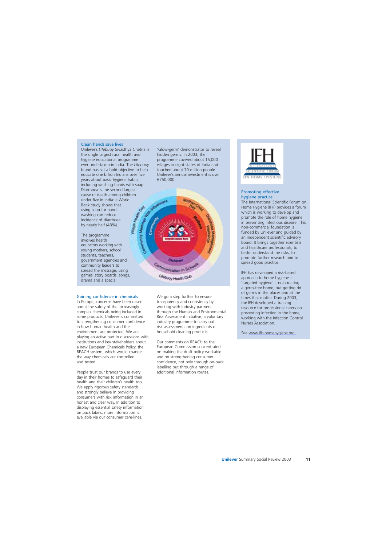#### Clean hands save lives

Unilever's *Lifebuoy* Swasthya Chetna is the single largest rural health and hygiene educational programme ever undertaken in India. The *Lifebuoy*  brand has set a bold objective to help educate one billion Indians over five years about basic hygiene habits, including washing hands with soap. Diarrhoea is the second largest cause of death among children under five in India: a World Bank study shows that using soap for handwashing can reduce incidence of diarrhoea by nearly half (48%).

The programme involves health educators working with young mothers, school students, teachers, government agencies and community leaders to spread the message, using games, story boards, songs, drama and a special

#### Gaining confidence in chemicals We go a step further to ensure

In Europe, concerns have been raised transparency and consistency by about the safety of the increasingly working with industry partners complex chemicals being included in through the Human and Environmental some products. Unilever is committed Risk Assessment initiative, a voluntary to strengthening consumer confidence industry programme to carry out<br>in how human health and the risk assessments on ingredients on environment are protected. We are household cleaning products. playing an active part in discussions with institutions and key stakeholders about Our comments on REACH to the a new European Chemicals Policy, the **European Commission concentrated** REACH system, which would change on making the draft policy workable the way chemicals are controlled and on strengthening consumer and tested. The confidence, not only through on-pack

People trust our brands to use every additional information routes. day in their homes to safeguard their health and their children's health too. We apply rigorous safety standards and strongly believe in providing consumers with risk information in an honest and clear way. In addition to displaying essential safety information on pack labels, more information is available via our consumer care-lines.

'Glow-germ' demonstrator to reveal hidden germs. In 2003, the programme covered about 15,000 villages in eight states of India and touched about 70 million people. Unilever's annual investment is over €750,000.



risk assessments on ingredients of

labelling but through a range of



#### Promoting effective hygiene practice

The International Scientific Forum on Home Hygiene (IFH) provides a forum which is working to develop and promote the role of home hygiene in preventing infectious disease. This non-commercial foundation is funded by Unilever and guided by an independent scientific advisory board. It brings together scientists and healthcare professionals, to better understand the risks, to promote further research and to spread good practice.

IFH has developed a risk-based approach to home hygiene – 'targeted hygiene' – not creating a germ-free home, but getting rid of germs in the places and at the times that matter. During 2003, the IFH developed a training resource for professional carers on preventing infection in the home, working with the Infection Control Nurses Association.

See www.ifh-homehygiene.org.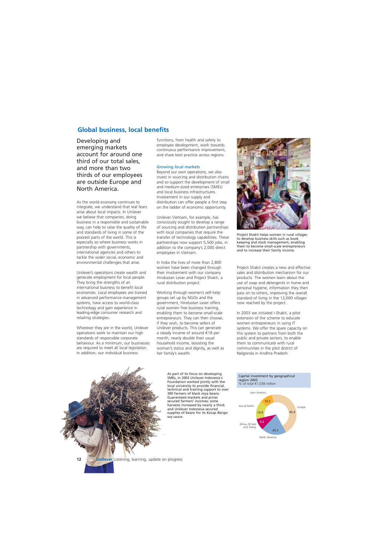### **Global business, local benefits**

Developing and emerging markets account for around one third of our total sales, and more than two thirds of our employees are outside Europe and North America.

As the world economy continues to integrate, we understand that real fears arise about local impacts. In Unilever we believe that companies, doing business in a responsible and sustainable way, can help to raise the quality of life and standards of living in some of the poorest parts of the world. This is especially so where business works in partnership with governments, international agencies and others to tackle the wider social, economic and environmental challenges that arise.

Unilever's operations create wealth and generate employment for local people. They bring the strengths of an international business to benefit local economies. Local employees are trained in advanced performance management systems, have access to world-class technology and gain experience in leading-edge consumer research and retailing strategies.

Wherever they are in the world, Unilever operations work to maintain our high standards of responsible corporate behaviour. As a minimum, our businesses are required to meet all local legislation. In addition, our individual business

functions, from health and safety to employee development, work towards continuous performance improvement, and share best practice across regions.

#### Growing local markets

Beyond our own operations, we also invest in sourcing and distribution chains and so support the development of small and medium-sized enterprises (SMEs) and local business infrastructures. Involvement in our supply and distribution can offer people a first step on the ladder of economic opportunity.

Unilever Vietnam, for example, has consciously sought to develop a range of sourcing and distribution partnerships with local companies that require the transfer of technology capabilities. These partnerships now support 5,500 jobs, in addition to the company's 2,000 direct employees in Vietnam.

In India the lives of more than 2,800 women have been changed through their involvement with our company Hindustan Lever and Project Shakti, a rural distribution project.

Working through women's self-help groups set up by NGOs and the government, Hindustan Lever offers rural women free business training, enabling them to become small-scale entrepreneurs. They can then choose, if they wish, to become sellers of Unilever products. This can generate a steady income of around €18 per month, nearly double their usual household income, boosting the woman's status and dignity, as well as her family's wealth.

Project Shakti helps women in rural villages to develop business skills such as book keeping and stock management, enabling them to become small-scale entrepreneurs and to increase their family income.

Project Shakti creates a new and effective sales and distribution mechanism for our products. The women learn about the use of soap and detergents in home and personal hygiene, information they then pass on to others, improving the overall standard of living in the 12,000 villages now reached by the project.

In 2003 we initiated i-Shakti, a pilot extension of the scheme to educate women entrepreneurs in using IT systems. We offer the spare capacity on this system to partners from both the public and private sectors, to enable them to communicate with rural communities in the pilot district of Nalgonda in Andhra Pradesh.

As part of its focus on developing SMEs, in 2003 Unilever Indonesia's Foundation worked jointly with the local university to provide financial, technical and training support to over 300 farmers of black soya beans. Guaranteed markets and prices secured farmers' incomes; some harvests increased by nearly a third; and Unilever Indonesia secured supplies of beans for its *Kecap Bango*  soy sauce.

Capital investment by geographical region 2003 % of total €1,038 million

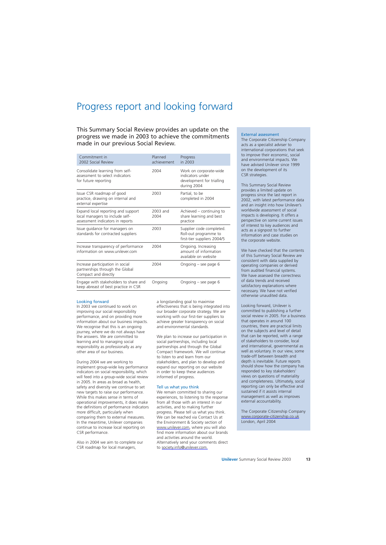# Progress report and looking forward

### This Summary Social Review provides an update on the progress we made in 2003 to achieve the commitments made in our previous Social Review.

| Commitment in<br>2002 Social Review                                                                       | Planned<br>achievement | Progress<br>in 2003                                                                    |
|-----------------------------------------------------------------------------------------------------------|------------------------|----------------------------------------------------------------------------------------|
| Consolidate learning from self-<br>assessment to select indicators<br>for future reporting                | 2004                   | Work on corporate-wide<br>indicators under<br>development for trialling<br>during 2004 |
| Issue CSR roadmap of good<br>practice, drawing on internal and<br>external expertise                      | 2003                   | Partial, to be<br>completed in 2004                                                    |
| Expand local reporting and support<br>local managers to include self-<br>assessment indicators in reports | 2003 and<br>2004       | Achieved – continuing to<br>share learning and best<br>practice                        |
| Issue guidance for managers on<br>standards for contracted suppliers                                      | 2003                   | Supplier code completed.<br>Roll-out programme to<br>first-tier suppliers 2004/5       |
| Increase transparency of performance<br>information on www.unilever.com                                   | 2004                   | Ongoing. Increasing<br>amount of information<br>available on website                   |
| Increase participation in social<br>partnerships through the Global<br>Compact and directly               | 2004                   | Ongoing – see page 6                                                                   |
| Engage with stakeholders to share and<br>keep abreast of best practice in CSR                             | Ongoing                | Ongoing – see page 6                                                                   |

#### Looking forward

In 2003 we continued to work on improving our social responsibility performance, and on providing more information about our business impacts. We recognise that this is an ongoing journey, where we do not always have the answers. We are committed to learning and to managing social responsibility as professionally as any other area of our business.

During 2004 we are working to implement group-wide key performance indicators on social responsibility, which will feed into a group-wide social review in 2005. In areas as broad as health, safety and diversity we continue to set new targets to raise our performance. While this makes sense in terms of operational improvements, it does make the definitions of performance indicators more difficult, particularly when comparing them to external measures. In the meantime, Unilever companies continue to increase local reporting on CSR performance.

Also in 2004 we aim to complete our CSR roadmap for local managers,

a longstanding goal to maximise effectiveness that is being integrated into our broader corporate strategy. We are working with our first-tier suppliers to achieve greater transparency on social and environmental standards.

We plan to increase our participation in social partnerships, including local partnerships and through the Global Compact framework. We will continue to listen to and learn from our stakeholders, and plan to develop and expand our reporting on our website in order to keep these audiences informed of progress.

#### Tell us what you think

We remain committed to sharing our experiences, to listening to the response from all those with an interest in our activities, and to making further progress. Please tell us what you think. We can be reached via Contact Us at the Environment & Society section of [www.unilever.com, w](http://www.unilever.com)here you will also find more information about our brands and activities around the world. Alternatively send your comments direct to [society.info@unilever.com.](mailto:society.info@unilever.com) 

#### External assessment

The Corporate Citizenship Company acts as a specialist adviser to international corporations that seek to improve their economic, social and environmental impacts. We have advised Unilever since 1999 on the development of its CSR strategies.

This Summary Social Review provides a limited update on progress since the last report in 2002, with latest performance data and an insight into how Unilever's worldwide assessment of social impacts is developing. It offers a perspective on some current issues of interest to key audiences and acts as a signpost to further information and case studies on the corporate website.

We have checked that the contents of this Summary Social Review are consistent with data supplied by operating companies or derived from audited financial systems. We have assessed the correctness of data trends and received satisfactory explanations where necessary. We have not verified otherwise unaudited data.

Looking forward, Unilever is committed to publishing a further social review in 2005. For a business that operates in around 100 countries, there are practical limits on the subjects and level of detail that can be reported, with a range of stakeholders to consider, local and international, governmental as well as voluntary. In our view, some trade-off between breadth and depth is inevitable. Future reports should show how the company has responded to key stakeholders' views on questions of materiality and completeness. Ultimately, social reporting can only be effective and sustained if it assists internal management as well as improves external accountability.

The Corporate Citizenship Company [www.corporate-citizenship.co.uk](http://www.corporate-citizenship.co.uk)  London, April 2004